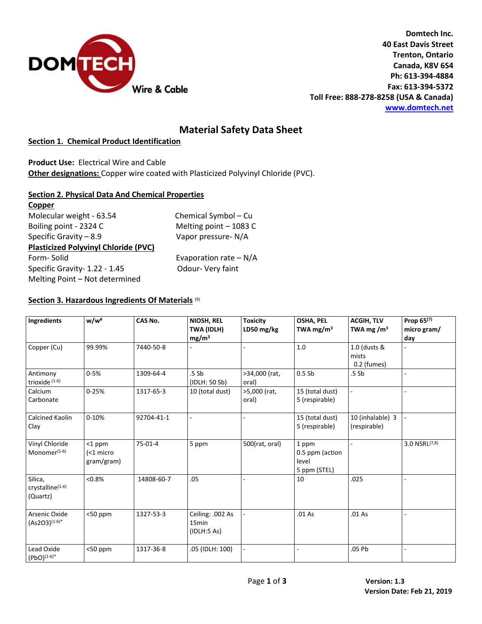

**Domtech Inc. 40 East Davis Street Trenton, Ontario Canada, K8V 6S4 Ph: 613-394-4884 Fax: 613-394-5372 Toll Free: 888-278-8258 (USA & Canada) [www.domtech.net](http://www.domtech.net/)**

# **Material Safety Data Sheet**

## **Section 1. Chemical Product Identification**

**Product Use:** Electrical Wire and Cable

**Other designations:** Copper wire coated with Plasticized Polyvinyl Chloride (PVC).

## **Section 2. Physical Data And Chemical Properties**

| Copper                                      |                         |  |  |
|---------------------------------------------|-------------------------|--|--|
| Molecular weight - 63.54                    | Chemical Symbol - Cu    |  |  |
| Boiling point - 2324 C                      | Melting point - 1083 C  |  |  |
| Specific Gravity $-8.9$                     | Vapor pressure-N/A      |  |  |
| <b>Plasticized Polyvinyl Chloride (PVC)</b> |                         |  |  |
| Form-Solid                                  | Evaporation rate $-N/A$ |  |  |
| Specific Gravity- 1.22 - 1.45               | Odour- Very faint       |  |  |
| Melting Point - Not determined              |                         |  |  |
|                                             |                         |  |  |

#### **Section 3. Hazardous Ingredients Of Materials** (9)

| Ingredients                                         | w/w <sup>#</sup>                       | CAS No.    | NIOSH, REL<br>TWA (IDLH)<br>mg/m <sup>3</sup>        | <b>Toxicity</b><br>LD50 mg/kg | <b>OSHA, PEL</b><br>TWA mg/m <sup>3</sup>         | <b>ACGIH, TLV</b><br>TWA mg $\rm /m^3$ | Prop $65^{(7)}$<br>micro gram/<br>day |
|-----------------------------------------------------|----------------------------------------|------------|------------------------------------------------------|-------------------------------|---------------------------------------------------|----------------------------------------|---------------------------------------|
| Copper (Cu)                                         | 99.99%                                 | 7440-50-8  |                                                      |                               | $1.0\,$                                           | 1.0 (dusts &<br>mists<br>$0.2$ (fumes) |                                       |
| Antimony<br>trioxide $(1-6)$                        | $0 - 5%$                               | 1309-64-4  | .5 Sb<br>(IDLH: 50 Sb)                               | >34,000 (rat,<br>oral)        | 0.5Sb                                             | .5 Sb                                  |                                       |
| Calcium<br>Carbonate                                | $0 - 25%$                              | 1317-65-3  | 10 (total dust)                                      | >5,000 (rat,<br>oral)         | 15 (total dust)<br>5 (respirable)                 | ÷.                                     |                                       |
| Calcined Kaolin<br>Clay                             | $0 - 10%$                              | 92704-41-1 |                                                      |                               | 15 (total dust)<br>5 (respirable)                 | 10 (inhalable) 3<br>(respirable)       | L.                                    |
| Vinyl Chloride<br>Monomer <sup>(1-6)</sup>          | $<$ 1 ppm<br>$<$ 1 micro<br>gram/gram) | $75-01-4$  | 5 ppm                                                | 500(rat, oral)                | 1 ppm<br>0.5 ppm (action<br>level<br>5 ppm (STEL) |                                        | 3.0 NSRL(7,8)                         |
| Silica,<br>crystalline <sup>(1-6)</sup><br>(Quartz) | < 0.8%                                 | 14808-60-7 | .05                                                  |                               | 10                                                | .025                                   |                                       |
| Arsenic Oxide<br>$(As2O3)^{(1-6)*}$                 | $<$ 50 ppm                             | 1327-53-3  | Ceiling: .002 As<br>15 <sub>min</sub><br>(IDLH:5 As) |                               | .01As                                             | .01As                                  |                                       |
| Lead Oxide<br>$(PbO)^{(1-6)*}$                      | $<$ 50 ppm                             | 1317-36-8  | .05 (IDLH: 100)                                      |                               |                                                   | .05 Pb                                 |                                       |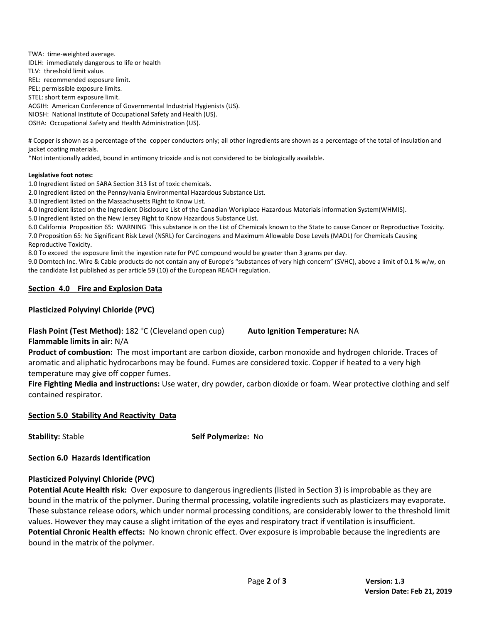TWA: time-weighted average. IDLH: immediately dangerous to life or health TLV: threshold limit value. REL: recommended exposure limit. PEL: permissible exposure limits. STEL: short term exposure limit. ACGIH: American Conference of Governmental Industrial Hygienists (US). NIOSH: National Institute of Occupational Safety and Health (US). OSHA: Occupational Safety and Health Administration (US).

# Copper is shown as a percentage of the copper conductors only; all other ingredients are shown as a percentage of the total of insulation and jacket coating materials.

\*Not intentionally added, bound in antimony trioxide and is not considered to be biologically available.

#### **Legislative foot notes:**

1.0 Ingredient listed on SARA Section 313 list of toxic chemicals.

2.0 Ingredient listed on the Pennsylvania Environmental Hazardous Substance List.

3.0 Ingredient listed on the Massachusetts Right to Know List.

4.0 Ingredient listed on the Ingredient Disclosure List of the Canadian Workplace Hazardous Materials information System(WHMIS).

5.0 Ingredient listed on the New Jersey Right to Know Hazardous Substance List.

6.0 California Proposition 65: WARNING This substance is on the List of Chemicals known to the State to cause Cancer or Reproductive Toxicity. 7.0 Proposition 65: No Significant Risk Level (NSRL) for Carcinogens and Maximum Allowable Dose Levels (MADL) for Chemicals Causing Reproductive Toxicity.

8.0 To exceed the exposure limit the ingestion rate for PVC compound would be greater than 3 grams per day.

9.0 Domtech Inc. Wire & Cable products do not contain any of Europe's "substances of very high concern" (SVHC), above a limit of 0.1 % w/w, on the candidate list published as per article 59 (10) of the European REACH regulation.

## **Section 4.0 Fire and Explosion Data**

## **Plasticized Polyvinyl Chloride (PVC)**

**Flash Point (Test Method)**: 182 °C (Cleveland open cup) **Auto Ignition Temperature: NA** 

**Flammable limits in air:** N/A

**Product of combustion:** The most important are carbon dioxide, carbon monoxide and hydrogen chloride. Traces of aromatic and aliphatic hydrocarbons may be found. Fumes are considered toxic. Copper if heated to a very high temperature may give off copper fumes.

**Fire Fighting Media and instructions:** Use water, dry powder, carbon dioxide or foam. Wear protective clothing and self contained respirator.

## **Section 5.0 Stability And Reactivity Data**

**Stability:** Stable **Self Polymerize:** No

## **Section 6.0 Hazards Identification**

## **Plasticized Polyvinyl Chloride (PVC)**

**Potential Acute Health risk:** Over exposure to dangerous ingredients (listed in Section 3) is improbable as they are bound in the matrix of the polymer. During thermal processing, volatile ingredients such as plasticizers may evaporate. These substance release odors, which under normal processing conditions, are considerably lower to the threshold limit values. However they may cause a slight irritation of the eyes and respiratory tract if ventilation is insufficient. **Potential Chronic Health effects:** No known chronic effect. Over exposure is improbable because the ingredients are bound in the matrix of the polymer.